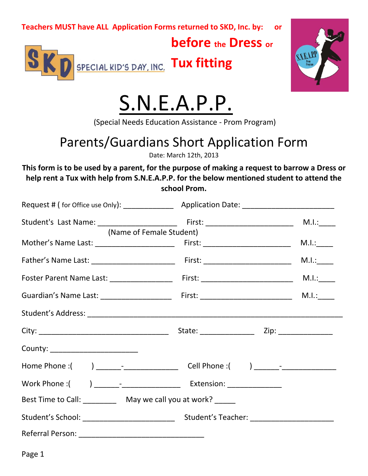### **before the Dress or**



**Tux fitting** ľ



# S.N.E.A.P.P.

(Special Needs Education Assistance - Prom Program)

## Parents/Guardians Short Application Form

Date: March 12th, 2013

**This form is to be used by a parent, for the purpose of making a request to barrow a Dress or help rent a Tux with help from S.N.E.A.P.P. for the below mentioned student to attend the school Prom.**

|                                                               | (Name of Female Student) |       |
|---------------------------------------------------------------|--------------------------|-------|
|                                                               |                          |       |
|                                                               |                          | M.l.: |
|                                                               |                          |       |
|                                                               |                          |       |
|                                                               |                          |       |
|                                                               |                          |       |
| County: _______________________                               |                          |       |
|                                                               |                          |       |
|                                                               |                          |       |
| Best Time to Call: ___________ May we call you at work? _____ |                          |       |
|                                                               |                          |       |
|                                                               |                          |       |